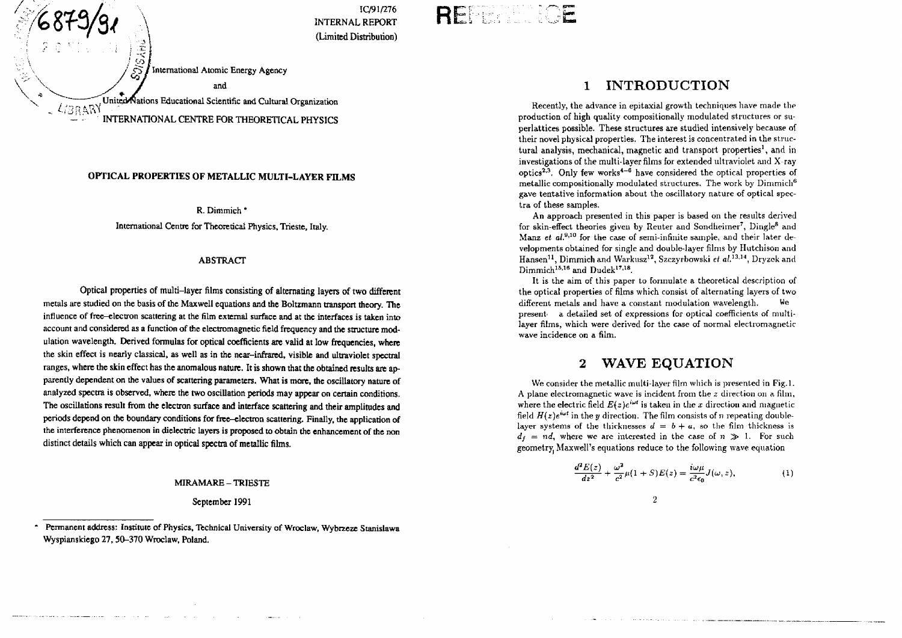

# **Ri**

#### OPTICAL PROPERTIES OF METALLIC MULTI-LAYER FILMS

R. Dimmich \* International Centre for Theoretical Physics, Trieste, Italy.

#### ABSTRACT

Optical properties of multi-layer films consisting of alternating layers of two different metals are studied on the basis of the Maxwell equations and the Boltzmann transport theory. The influence of free-electron scattering at the film external surface and at the interfaces is taken into account and considered as a function of the electromagnetic field frequency and the structure modulation wavelength. Derived formulas for optical coefficients are valid at low frequencies, where the skin effect is nearly classical, as well as in the near-infrared, visible and ultraviolet spectral ranges, where the skin effect has the anomalous nature. It is shown that the obtained results are apparently dependent on the values of scattering parameters. What is more, the oscillatory nature of analyzed spectra is observed, where the two oscillation periods may appear on certain conditions. The oscillations result from the electron surface and interface scattering and their amplitudes and periods depend on the boundary conditions for free-electron scattering. Finally, the application of the interference phenomenon in dielectric layers is proposed to obtain the enhancement of the non distinct details which can appear in optical spectra of metallic films.

MIRAMARE - TRIESTE

September 1991

Permanent address: Institute of Physics, Technical University of Wroclaw, Wybrzeze Stanislawa Wyspianskiego 27, 50-370 Wroclaw, Poland.

### 1 INTRODUCTION

Recently, the advance in epitaxial growth techniques have made the production of high quality compositionally modulated structures or superlattices possible. These structures are studied intensively because of their novel physical properties. The interest is concentrated in the structural analysis, mechanical, magnetic and transport properties<sup>1</sup>, and in investigations of the multi-layer films for extended ultraviolet and X-ray  $\frac{1}{2}$  optics<sup>2,3</sup>. Only few works<sup>4-6</sup> have considered the optical properties of metallic compositionally modulated structures. The work by Dimmich<sup>6</sup> gave tentative information about the oscillatory nature of optical spectra of these samples.

An approach presented in this paper is based on the results derived for skin-effect theories given by Reuter and Sondheimer<sup>7</sup>, Dingle<sup>8</sup> and Manz et al.<sup>9,10</sup> for the case of semi-infinite sample, and their later developments obtained for single and double-layer films by Hutchison and Hansen<sup>11</sup>, Dimmich and Warkusz<sup>12</sup>, Szczyrbowski *et al.*<sup>13,14</sup>, Dryzek and Dimmich<sup>15,16</sup> and Dudek<sup>17,18</sup>.

It is the aim of this paper to formulate a theoretical description of the optical properties of films which consist of alternating layers of two different metals and have a constant modulation wavelength. present a detailed set of expressions for optical coefficients of multilayer films, which were derived for the case of normal electromagnetic wave incidence on a film.

### WAVE EQUATION

We consider the metallic multi-layer film which is presented in Fig.l. A plane electromagnetic wave is incident from the *z* direction on a film, where the electric field  $E(z)e^{i\omega t}$  is taken in the *x* direction and magnetic field  $H(z)e^{i\omega t}$  in the *y* direction. The film consists of *n* repeating doublelayer systems of the thicknesses  $d = b + a$ , so the film thickness is  $d_f = nd$ , where we are interested in the case of  $n \gg 1$ . For such geometry Maxwell's equations reduce to the following wave equation

 $\overline{2}$ 

$$
\frac{d^2E(z)}{dz^2} + \frac{\omega^2}{c^2}\mu(1+S)E(z) = \frac{i\omega\mu}{c^2\epsilon_0}J(\omega, z),
$$
 (1)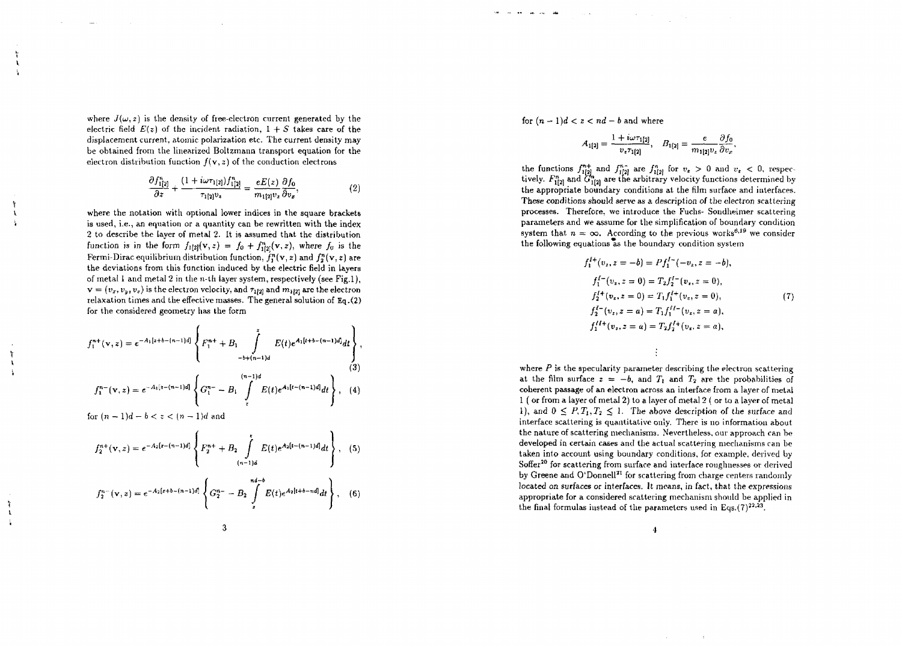where  $J(\omega,z)$  is the density of free-electron current generated by the electric field  $E(z)$  of the incident radiation,  $1 + S$  takes care of the displacemen t current , atomi c polarizatio n etc . Th e curren t densit y ma y b e obtaine d from th e linearize d Boltzman n transpor t equatio n for th e electron distribution function  $f({\bf v},z)$  of the conduction electrons

$$
\frac{\partial f_{1[2]}^n}{\partial z} + \frac{(1 + i\omega \tau_{1[2]}) f_{1[2]}^n}{\tau_{1[2]} v_z} = \frac{eE(z)}{m_{1[2]} v_z} \frac{\partial f_0}{\partial v_z},\tag{2}
$$

where the notation with optional lower indices in the square brackets is used, i.e., an equation or a quantity can be rewritten with the index 2 t o describ e th e layer of meta l 2 . I t i s assume d tha t th e distributio n function is in the form  $f_{1[2]}(v, z) = f_0 + f_{1[2]}^n(v, z)$ , where  $f_0$  is the Fermi-Dirac equilibrium distribution function,  $f_{\alpha}^{n}(\mathbf{v},z)$  and  $f_{\alpha}^{n}(\mathbf{v},z)$  are the deviations from this function induced by the electric field in layers of metal 1 and metal 2 in the n-th layer system, respectively (see Fig.1).  $v = (v_x, v_y, v_z)$  is the electron velocity, and  $\tau_{1/2}$  and  $m_{1/2}$  are the electron relaxatio n time s an d th e effectiv e masses . Th e genera l solutio n of Eq.(2 ) for th e considere d geometr y ha s th e form

$$
f_1^{n+}(v, z) = e^{-A_1[z+b-(n-1)d]} \left\{ F_1^{n+} + B_1 \int_{-b+(n-1)d}^{z} E(t) e^{A_1[z+b-(n-1)d]} dt \right\},
$$
\n(3)\n
$$
f_1^{n-}(v, z) = e^{-A_1[z-(n-1)d]} \left\{ G_1^{n-} - B_1 \int_{z}^{(n-1)d} E(t) e^{A_1[t-(n-1)d]} dt \right\},
$$
\n(4)\nfor  $(n-1)d - b < z < (n-1)d$  and

$$
f_2^{n+}(\mathbf{v}, z) = e^{-A_2[z - (n-1)d]} \left\{ F_2^{n+} + B_2 \int_{(n-1)d}^{x} E(t) e^{A_2[t - (n-1)d]} dt \right\}, \quad (5)
$$
  

$$
f_2^{n-}(\mathbf{v}, z) = e^{-A_2[z + b - (n-1)d]} \left\{ G_2^{n-} - B_2 \int_z^{n-d-b} E(t) e^{A_2[t + b - nd]} dt \right\}, \quad (6)
$$

for  $(n-1)d < z < nd-b$  and where

$$
A_{1[2]} = \frac{1 + i\omega \tau_{1[2]}}{v_{\tau} \tau_{1[2]}}, \quad B_{1[2]} = \frac{e}{m_{1[2]}v_{\tau}} \frac{\partial f_0}{\partial v_{\tau}},
$$

the functions  $f_{1/2}^{n+}$  and th e the functions  $f_{1[2]}^{n+}$  and  $f_{1[2]}^{n}$  are  $f_{1[2]}^{n}$  for  $v_x > 0$  and  $v_x < 0$ , respectively.  $F_{1[2]}^{n}$  and  $G_{1[2]}^{n}$  are the arbitrary velocity functions determined by th e appropriat e boundar y condition s a t th e film surfac e an d interfaces . These conditions should serve as a description of the electron scattering processes . Therefore , we introduc e th e Fuchs - Sondheime r scatterin g parameter s an d we assum e for th e simplificatio n of boundar y conditio n system that  $n = \infty$ . According to the previous works<sup>6,19</sup> we consider the following equations as the boundary condition system

$$
f_1^{I+}(v_z, z = -b) = Pf_1^{I-}(-v_z, z = -b),
$$
  
\n
$$
f_1^{I-}(v_z, z = 0) = T_2 f_2^{I-}(v_z, z = 0),
$$
  
\n
$$
f_2^{I+}(v_z, z = 0) = T_1 f_1^{I+}(v_z, z = 0),
$$
  
\n
$$
f_2^{I-}(v_z, z = a) = T_1 f_1^{I-I-}(v_z, z = a),
$$
  
\n
$$
f_1^{I+}(v_z, z = a) = T_2 f_2^{I+}(v_z, z = a),
$$
  
\n(7)

where  $P$  is the specularity parameter describing the electron scattering at the film surface  $z = -b$ , and  $T_1$  and  $T_2$  are the probabilities of coheren t passag e of an electro n acros s an interfac e from a laye r of meta l  $1$  ( or from a layer of metal  $2$ ) to a layer of metal  $2$  ( or to a layer of metal 1), and  $0 \le P, T_1, T_2 \le 1$ . The above description of the surface and interface scattering is quantitative only. There is no information about the nature of scattering mechanisms. Nevertheless, our approach can be developed in certain cases and the actual scattering mechanisms can be taken into account using boundary conditions, for example, derived by soffer<sup>20</sup> for scattering from surface and interface roughnesses or derived by Greene and O'Donnell<sup>21</sup> for scattering from charge centers randomly located on surfaces or interfaces. It means, in fact, that the expressions appropriate for a considered scattering mechanism should be applied in appropriate for a considered scalenting incendiment should be  $a_{11}$ <br>the final formulas instead of the narameters used in Eqs.  $(7)^{22,23}$ 

 $\ddot{\phantom{1}}$ 

÷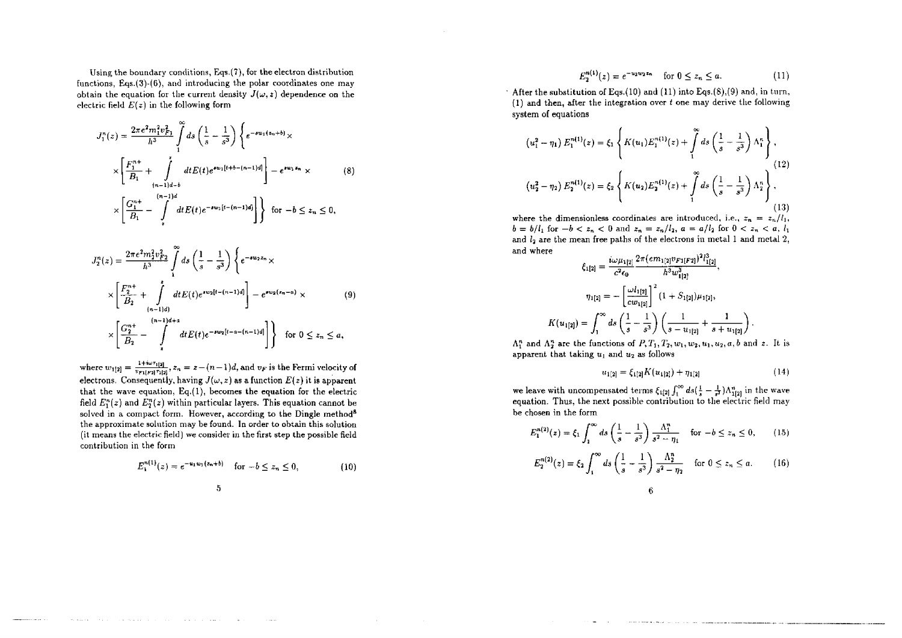Using the boundary conditions, Eqs.(7), for the electron distribution functions,  $Eqs.(3)-(6)$ , and introducing the polar coordinates one may obtain the equation for the current density  $J(\omega, z)$  dependence on the electric field *E(z)* in the following form

$$
J_1^n(z) = \frac{2\pi e^2 m_1^2 v_{F1}^2}{h^3} \int_1^\infty ds \left(\frac{1}{s} - \frac{1}{s^3}\right) \left\{ e^{-s w_1 (z_n + b)} \times \times \left[\frac{F_1^{n+1}}{B_1} + \int_{(n-1)d-b}^{\bar{1}} dt E(t) e^{s w_1 [t+b-(n-1)d]} \right] - e^{s w_1 z_n} \times \left[\frac{G_1^{n+1}}{B_1} - \int_{s}^{(n-1)d} dt E(t) e^{-s w_1 [t-(n-1)d]} \right] \right\} \text{ for } -b \le z_n \le 0,
$$
\n(8)

$$
J_2^n(z) = \frac{2\pi e^2 m_2^2 v_{F2}^2}{h^3} \int_1^\infty ds \left(\frac{1}{s} - \frac{1}{s^3}\right) \left\{ e^{-s w_2 z_n} \times \right.
$$
  

$$
\times \left[ \frac{F_2^{n+1}}{B_2} + \int_{(n-1)d}^{1} dt E(t) e^{s w_2 [t-(n-1)d]} \right] - e^{s w_2 (z_n - a)} \times \left[ \frac{G_2^{n+1}}{B_2} - \int_{z}^{(n-1)d+a} dt E(t) e^{-s w_2 [t-a-(n-1)d]} \right] \right\} \text{ for } 0 \le z_n \le a,
$$

$$
(9)
$$

where  $w_{1[2]} = \frac{1 + w \tau_{1[2]}}{v_{\text{rel}} \cdot \text{min} \tau_{1[2]}}, z_n = z - (n-1)d$ , and  $v_F$  is the Fermi velocity of electrons. Consequently, having  $J(\omega, z)$  as a function  $E(z)$  it is apparent that the wave equation, Eq.(1), becomes the equation for the electric field  $E_1^n(z)$  and  $E_2^n(z)$  within particular layers. This equation cannot be solved in a compact form. However, according to the Dingle method<sup>8</sup> the approximate solution may be found. In order to obtain this solution (it means the electric field) we consider in the first step the possible field contribution in the form

$$
E_1^{n(1)}(z) = e^{-u_1 w_1 (z_n + b)} \quad \text{for } -b \le z_n \le 0,
$$
 (10)

$$
-5\phantom{.0}
$$

$$
E_2^{n(1)}(z) = e^{-u_2w_2z_n} \quad \text{for } 0 \le z_n \le a. \tag{11}
$$

 $\ddot{\phantom{a}}$ 

After the substitution of Eqs.(10) and (11) into Eqs.(8),(9) and, in turn, (1) and then, after the integration over *t* one may derive the following system of equations

 $\mathbf{r}$ 

$$
(u_1^2 - \eta_1) E_1^{n(1)}(z) = \xi_1 \left\{ K(u_1) E_1^{n(1)}(z) + \int_1^{\infty} ds \left( \frac{1}{s} - \frac{1}{s^3} \right) \Lambda_1^n \right\},
$$
  
\n
$$
(u_2^2 - \eta_2) E_2^{n(1)}(z) = \xi_2 \left\{ K(u_2) E_2^{n(1)}(z) + \int_1^{\infty} ds \left( \frac{1}{s} - \frac{1}{s^3} \right) \Lambda_2^n \right\},
$$
  
\n(12)

where the dimensionless coordinates are introduced, i.e.,  $z_n = z_n/l_1$ ,  $b = b/l_1$  for  $-b < z_n < 0$  and  $z_n = z_n/l_2$ ,  $a = a/l_2$  for  $0 < z_n < a$ ,  $l_1$ and  $l_2$  are the mean free paths of the electrons in metal 1 and metal 2, and where  $\sim$  $1213$ 

$$
\xi_{1[2]} = \frac{i\omega\mu_{1[2]}}{c^2\epsilon_0} \frac{2\pi (em_{1[2]}v_{F1[F2]})^2 i'_{1[2]}}{h^3 w_{1[2]}^3},
$$

$$
\eta_{1[2]} = -\left[\frac{\omega l_{1[2]}}{cw_{1[2]}}\right]^2 (1 + S_{1[2]})\mu_{1[2]},
$$

$$
K(u_{1[2]}) = \int_1^\infty ds \left(\frac{1}{s} - \frac{1}{s^3}\right) \left(\frac{1}{s - u_{1[2]}} + \frac{1}{s + u_{1[2]}}\right).
$$

 $\Lambda_1^n$  and  $\Lambda_2^n$  are the functions of  $P, T_1, T_2, w_1, w_2, u_1, u_2, a, b$  and z. It is apparent that taking  $u_1$  and  $u_2$  as follows

$$
u_{1[2]} = \xi_{1[2]} K(u_{1[2]}) + \eta_{1[2]} \tag{14}
$$

and the company of the company of the company of the company of the company of the company of the company of the company of the company of the company of the company of the company of the company of the company of the comp

we leave with uncompensated terms  $\xi_{1[2]} \int_1^{\infty} ds \left( \frac{1}{s} - \frac{1}{s^3} \right) \Lambda_{1[2]}^n$  in the wave equation. Thus, the next possible contribution to the electric field may be chosen in the form

$$
E_1^{n(2)}(z) = \xi_1 \int_1^{\infty} ds \left( \frac{1}{s} - \frac{1}{s^3} \right) \frac{\Lambda_1^n}{s^2 - \eta_1} \quad \text{for } -b \le z_n \le 0,
$$
 (15)

$$
E_2^{n(2)}(z) = \xi_2 \int_1^{\infty} ds \left( \frac{1}{s} - \frac{1}{s^3} \right) \frac{\Lambda_2^n}{s^2 - \eta_2} \quad \text{for } 0 \le z_n \le a. \tag{16}
$$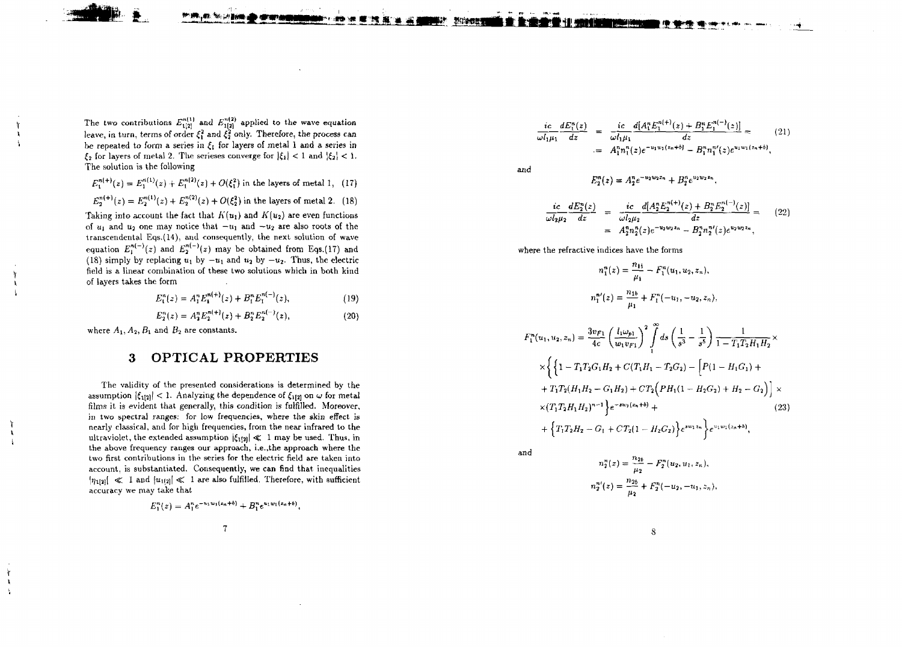The two contributions  $E_{1(2)}^{n(1)}$  and  $E_{1(2)}^{n(2)}$  applied to the wave equation leave, in turn, terms of order  $\xi_1^2$  and  $\xi_2^2$  only. Therefore, the process can be repeated to form a series in  $\xi_1$  for layers of metal 1 and a series in  $\xi_2$  for layers of metal 2. The serieses converge for  $|\xi_1| < 1$  and  $|\xi_2| < 1$ . The solution is the following

 $E_1^{n(1)}(z) + E_1^{n(2)}(z) + O(\xi_1^2)$  in the layers of metal 1, (17)

$$
E_2^{n(1)}(z) = E_2^{n(1)}(z) + E_2^{n(2)}(z) + O(\xi_2^2)
$$
 in the layers of metal 2. (18)

Taking into account the fact that  $K(u_1)$  and  $K(u_2)$  are even functions of  $u_1$  and  $u_2$  one may notice that  $-u_1$  and  $-u_2$  are also roots of the transcendental Eqs.(14), and consequently, the next solution of wave equation  $E_1^{n(-)}(z)$  and  $E_2^{n(-)}(z)$  may be obtained from Eqs.(17) and (18) simply by replacing  $u_1$  by  $-u_1$  and  $u_2$  by  $-u_2$ . Thus, the electric field is a linear combination of these two solutions which in both kind of layer s take s th e form

> $E_i^n(z) = A_i^n E_i^{n(+)}(z) + B_i^n E_i^{n(-)}(z),$  (19 **)**

$$
E_2^n(z) = A_2^n E_2^{n(+)}(z) + B_2^n E_2^{n(-)}(z), \qquad (20)
$$

where  $A_1, A_2, B_1$  and  $B_2$  are constants.

## 3 OPTICA L PROPERTIE S

The validity of the presented considerations is determined by the assumption  $|\xi_{1[2]}| < 1$ . Analyzing the dependence of  $\xi_{1[2]}$  on  $\omega$  for metal films it is evident that generally, this condition is fulfilled. Moreover, in two spectral ranges: for low frequencies, where the skin effect is nearl y classical , an d for hig h frequencies , from th e near infrare d t o th e ultraviolet, the extended assumption  $|\xi_{1(2)}| \ll 1$  may be used. Thus, in the above frequency ranges our approach, i.e., the approach where the two first contributions in the series for the electric field are taken into account, is substantiated. Consequently, we can find that inequalities  $|\eta_1|_2$   $\leqslant$  1 and  $|u_{1(2)}| \leqslant 1$  are also fulfilled. Therefore, with sufficient accurac y w e may tak e tha t

$$
E_1^n(z) = A_1^n e^{-u_1w_1(z_n+b)} + B_1^n e^{u_1w_1(z_n+b)},
$$

 $\overline{\tau}$ 

$$
\frac{ic}{\omega l_1 \mu_1} \frac{dE_1^n(z)}{dz} = \frac{ic}{\omega l_1 \mu_1} \frac{d[A_1^n E_1^{n(+)}(z) + B_1^n E_1^{n(-)}(z)]}{dz} = A_1^n n_1^n(z) e^{-u_1 w_1(z_n + b)} - B_1^n n_1^n(z) e^{u_1 w_1(z_n + b)},
$$
\n(21)

an d

$$
E_2^n(z) = A_2^n e^{-u_2w_2z_n} + B_2^n e^{u_2w_2z_n}
$$

$$
\frac{ic}{\omega l_2 \mu_2} \frac{dE_2^n(z)}{dz} = \frac{ic}{\omega l_2 \mu_2} \frac{d[A_2^n E_2^{n(+)}(z) + B_2^n E_2^{n(-)}(z)]}{dz} = A_2^n n_2^n(z) e^{-u_2 \omega_2 z_n} - B_2^n n_2^n(z) e^{u_2 \omega_2 z_n},
$$
\n(22)

wher e th e refractiv e indice s hav e th e form s

$$
n_1^n(z) = \frac{n_{1b}}{\mu_1} - F_1^n(u_1, u_2, z_n),
$$
  

$$
n_1^{n'}(z) = \frac{n_{1b}}{\mu_1} + F_1^n(-u_1, -u_2, z_n),
$$

$$
F_1^n(u_1, u_2, z_n) = \frac{3v_{F1}}{4c} \left(\frac{l_1\omega_{p1}}{w_1v_{F1}}\right)^2 \int_1^\infty ds \left(\frac{1}{s^3} - \frac{1}{s^5}\right) \frac{1}{1 - T_1T_2H_1H_2} \times
$$
  
\n
$$
\times \left\{\left\{1 - T_1T_2G_1H_2 + C(T_1H_1 - T_2G_2) - \left[P(1 - H_1G_1) + \right]T_1T_2(H_1H_2 - G_1H_2) + CT_2\left(PH_1(1 - H_2G_2) + H_2 - G_2\right)\right] \times
$$
  
\n
$$
\times (T_1T_2H_1H_2)^{n-1} \left\} e^{-sw_1(z_n + \delta)} +
$$
  
\n
$$
+ \left\{T_1T_2H_2 - G_1 + CT_2(1 - H_2G_2)\right\} e^{sw_1 z_n} \left\{e^{w_1w_1(z_n + \delta)},\right\}
$$
\n(23)

an d

$$
n_2^n(z) = \frac{n_{2b}}{\mu_2} - F_2^n(u_2, u_1, z_n),
$$
  

$$
n_2^{n'}(z) = \frac{n_{2b}}{\mu_2} + F_2^n(-u_2, -u_1, z_n),
$$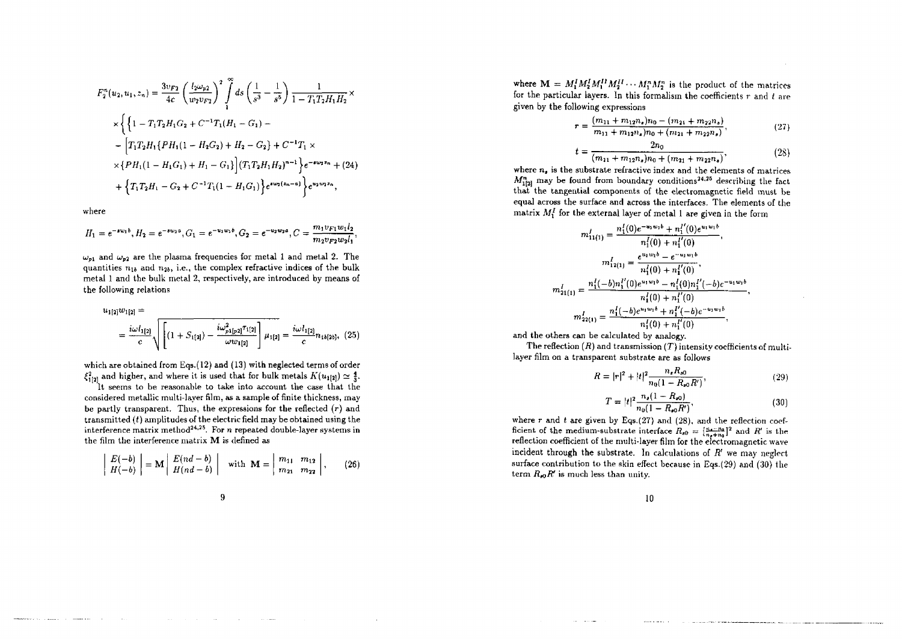$$
F_2^n(u_2, u_1, z_n) = \frac{3v_{F2}}{4c} \left(\frac{l_2\omega_{p2}}{w_2v_{F2}}\right)^2 \int_1^\infty ds \left(\frac{1}{s^3} - \frac{1}{s^5}\right) \frac{1}{1 - T_1T_2H_1H_2} \times
$$
  
\n
$$
\times \left\{\left\{1 - T_1T_2H_1G_2 + C^{-1}T_1(H_1 - G_1) - \right. \\ \left. - \left[T_1T_2H_1\{PH_1(1 - H_2G_2) + H_2 - G_2\} + C^{-1}T_1 \times \right.\right. \\ \left. \times \left\{PH_1(1 - H_1G_1) + H_1 - G_1\right\} \right] (T_1T_2H_1H_2)^{n-1} \right\} e^{-\phi\omega_2 z_n} + (24)
$$
  
\n
$$
+ \left\{T_1T_2H_1 - G_2 + C^{-1}T_1(1 - H_1G_1)\right\} e^{\phi\omega_2(z_n - a)} \right\} e^{\omega_2w_2 z_n},
$$

vhere

$$
H_1 = e^{-\mu v_1 b}, H_2 = e^{-\mu v_2 a}, G_1 = e^{-v_1 w_3 b}, G_2 = e^{-v_2 w_2 a}, C = \frac{m_1 v_{F1} w_1 l_2}{m_2 v_{F2} w_2 l_1},
$$

 $\omega_{n1}$  and  $\omega_{n2}$  are the plasma frequencies for metal 1 and metal 2. The quantities  $n_{1b}$  and  $n_{2b}$ , i.e., the complex refractive indices of the bulk metal 1 and the bulk metal 2, respectively, are introduced by means of the following relations

$$
u_{1[2]}w_{1[2]} = \frac{i\omega l_{1[2]}}{c} \sqrt{\left[ (1 + S_{1[2]}) - \frac{i\omega_{p1[p2]}^2 \tau_{1[2]}}{\omega w_{1[2]}} \right] \mu_{1[2]} = \frac{i\omega l_{1[2]}}{c} n_{1b[2b]}, \tag{25}
$$

**J** which are obtained from Eqs.(12) and (13) with neglected terms of order  $\xi_{1[2]}^2$  and higher, and where it is used that for bulk metals  $K(u_{1[2]}) \simeq \frac{4}{3}$ .

It seems to be reasonable to take into account the case that the considered metallic multi-layer film, as a sample of finite thickness, may be partly transparent. Thus, the expressions for the reflected  $(r)$  and transmitted  $(t)$  amplitudes of the electric field may be obtained using the interference matrix method<sup>24,25</sup>. For *n* repeated double-layer systems in the film the interference matrix M is defined as

$$
\left|\begin{array}{c}E(-b)\\H(-b)\end{array}\right| = \mathbf{M}\left|\begin{array}{c}E(nd-b)\\H(nd-b)\end{array}\right| \quad \text{with } \mathbf{M} = \left|\begin{array}{cc}m_{11} & m_{12}\\m_{21} & m_{22}\end{array}\right|,\tag{26}
$$

9

where  $M = M_1^I M_2^I M_1^I M_2^I \cdots M_1^n M_2^n$  is the product of the matrices for the particular layers. In this formalism the coefficients *r* and *t* are given by the following expressions

$$
r = \frac{(m_{11} + m_{12}n_s)n_0 - (m_{21} + m_{22}n_s)}{m_{11} + m_{12}n_s)n_0 + (m_{21} + m_{22}n_s)},
$$
\n(27)

$$
t = \frac{2n_0}{(m_{11} + m_{12}n_s)n_0 + (m_{21} + m_{22}n_s)},
$$
\n(28)

where  $n_a$  is the substrate refractive index and the elements of matrices  $M^n_{1[2]}$  may be found from boundary conditions<sup>24,25</sup> describing the fact that the tangential components of the electromagnetic field must be equal across the surface and across the interfaces. The elements of the matrix *M{* for the external layer of metal 1 are given in the form

$$
m'_{11(1)} = \frac{n'_1(0)e^{-u_1w_1b} + n'_1'(0)e^{u_1w_1b}}{n'_1(0) + n'_1'(0)},
$$
  

$$
m'_{12(1)} = \frac{e^{u_1w_1b} - e^{-u_1w_1b}}{n'_1(0) + n'_1'(0)},
$$
  

$$
m'_{21(1)} = \frac{n'_1(-b)n'_1'(0)e^{u_1w_1b} - n'_1(0)n'_1'(-b)e^{-u_1w_1b}}{n'_1(0) + n'_1(0)}
$$
  

$$
m'_{22(1)} = \frac{n'_1(-b)e^{u_1w_1b} + n'_1'(-b)e^{-u_1w_1b}}{n'_1(0) + n'_1(0)},
$$

and the others can be calculated by analogy.

The reflection *(R)* and transmission *(T)* intensity coefficients of multilayer film on a transparent substrate are as follows

$$
R = |r|^2 + |t|^2 \frac{n_s R_{s0}}{n_0 (1 - R_{s0} R')},\tag{29}
$$

$$
T = |t|^2 \frac{n_s(1 - R_{s0})}{n_0(1 - R_{s0}R')},
$$
\n(30)

where *r* and *t* are given by Eqs.(27) and (28), and the reflection coefficient of the medium-substrate interface  $R_{s0} = \left(\frac{q_{4}-p_{0}}{q_{4}+m}\right)^{2}$  and  $R'$  is the reflection coefficient of the multi-layer film for the electromagnetic wave incident through the substrate. In calculations of  $R<sup>t</sup>$  we may neglect surface contribution to the skin effect because in Eqs.(29) and (30) the term  $R_{e0}R'$  is much less than unity.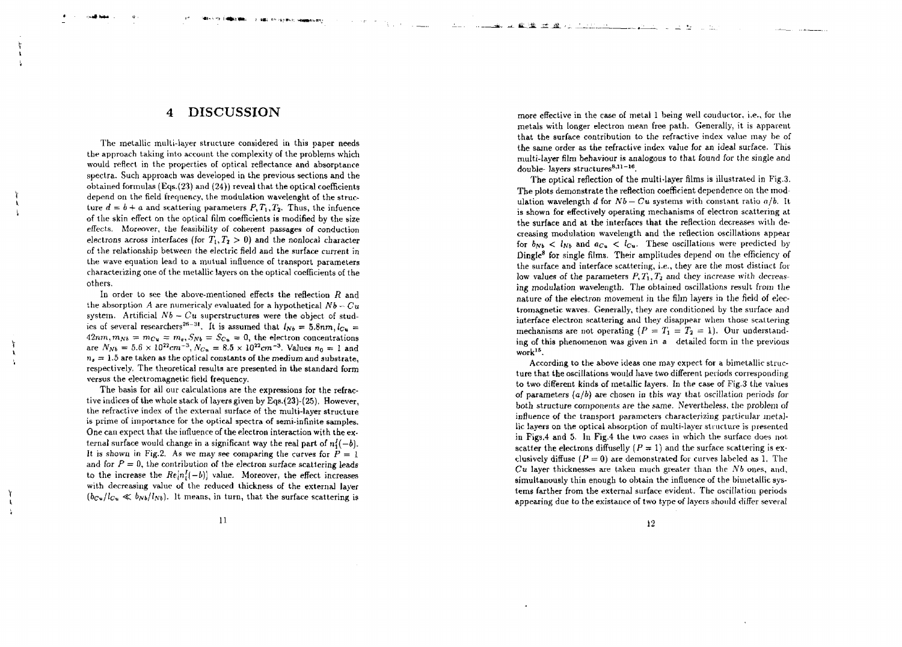### 4 DISCUSSIO N

2. 981 FOLOGRAPH CHANGES BAY

The metallic multi-layer structure considered in this paper needs the approach taking into account the complexity of the problems which woul d reflec t in th e propertie s of optica l reflectanc e an d absorptanc e spectra. Such approach was developed in the previous sections and the  $\rm obtained\ for mulas\ (Eqs. (23)\ and\ (24))\ reveal\ that\ the\ optical\ coefficients$ depen d o n th e field frequency , th e modulatio n wavelengh t of th e struc ture  $d = b + a$  and scattering parameters  $P, T_1, T_2$ . Thus, the infuence of the skin effect on the optical film coefficients is modified by the size effects. Moreover, the feasibility of coherent passages of conduction electrons across interfaces (for  $T_1, T_2 > 0$ ) and the nonlocal character of th e relationshi p betwee n th e electri c field an d th e surfac e curren t i n the wave equation lead to a mutual influence of transport parameters characterizin g on e of th e metalli c layer s o n th e optica l coefficient s of th e others .

In order to see the above-mentioned effects the reflection  $R$  and the absorption  $A$  are numericaly evaluated for a hypothetical  $Nb-Cu^$ system. Artificial  $Nb - Cu$  superstructures were the object of studies of several researchers<sup>26-31</sup>. It is assumed that  $l_{Nb} = 5.8nm, l_{Cu} =$  $42nm, m_{Nb} = m_{Cu} = m_e, S_{Nb} = S_{Cu} = 0$ , the electron concentrations are  $N_{Nb} = 5.6 \times 10^{22} cm^{-3}$ ,  $N_{Cu} = 8.5 \times 10^{22} cm^{-3}$ . Values  $n_0 = 1$  and  $n_s=1.5$  are taken as the optical constants of the medium and substrate, respectively. The theoretical results are presented in the standard form versu s th e electromagneti c field frequency .

The basis for all our calculations are the expressions for the refractiv e indice s of th e whol e stac k of layer s give n b y Eqs.(23)-(25) . However , th e refractiv e inde x of th e externa l surfac e of th e multi-laye r structur e i s prim e of importanc e for th e optica l spectr a of semi-infinit e samples . One can expect that the influence of the electron interaction with the external surface would change in a significant way the real part of  $n_1^I(-b)$ . I t i s show n i n Fig.2 . A s we may se e comparin g th e curve s for *P =* 1 and for  $P = 0$ , the contribution of the electron surface scattering leads to the increase the  $Re[n_{l}^{t}(-b)]$  value. Moreover, the effect increases with decreasin g valu e of th e reduce d thicknes s of th e externa l laye r ). It means, in turn, that the surface scattering is

more effective in the case of metal 1 being well conductor, i.e., for the metal s wit h longer electro n mean fre e path . Generally , i t i s apparen t tha t th e surfac e contributio n t o th e refractiv e inde x valu e may b e of the same order as the refractive index value for an ideal surface. This multi-layer film behaviour is analogous to that found for the single and double layers structures<sup>8,11-16</sup>.

The optical reflection of the multi-layer films is illustrated in Fig.3. The plots demonstrate the reflection coefficient dependence on the modulation wavelength  $d$  for  $Nb - Cu$  systems with constant ratio  $a/b$ . It is shown for effectively operating mechanisms of electron scattering at the surface and at the interfaces that the reflection decreases with decreasin g modulatio n wavelength an d th e reflectio n oscillation s appea r for  $b_{Nb} < l_{Nb}$  and  $a_{Cu} < l_{Cu}$ . These oscillations were predicted by Dingle<sup>8</sup> for single films. Their amplitudes depend on the efficiency of the surface and interface scattering, i.e., they are the most distinct for low values of the parameters  $P, T_1, T_2$  and they increase with decreasin g modulatio n wavelength . Th e obtaine d oscillation s resul t from th e nature of the electron movement in the film layers in the field of electromagnetic waves. Generally, they are conditioned by the surface and interfac e electro n scatterin g an d the y disappea r when thos e scatterin g mechanisms are not operating  $(P = T_1 = T_2 = 1)$ . Our understanding of this phenomenon was given in a detailed form in the previous work<sup>15</sup> .

According to the above ideas one may expect for a bimetallic structur e tha t th e oscillation s woul d hav e tw o different period s correspondin g to two different kinds of metallic layers. In the case of Fig.3 the values of parameters  $(a/b)$  are chosen in this way that oscillation periods for both structure components are the same. Nevertheless, the problem of influenc e of th e transpor t parameter s characterizin g particula r metal li c layer s on th e optica l absorptio n of multi-laye r structur e i s presente d i n Figs, 4 an d 5 . I n Fig. 4 th e tw o case s in whic h th e surfac e doe s no t scatter the electrons diffuselly ( $P = 1$ ) and the surface scattering is exclusively diffuse  $(P = 0)$  are demonstrated for curves labeled as 1. The  $Cu$  layer thicknesses are taken much greater than the  $Nb$  ones, and, simultanously thin enough to obtain the influence of the bimetallic systems farther from the external surface evident. The oscillation periods appearin g du e t o th e existanc e of tw o typ e of layer s shoul d differ severa l

1 1

 $\mathbf{A}$  $\frac{1}{2}$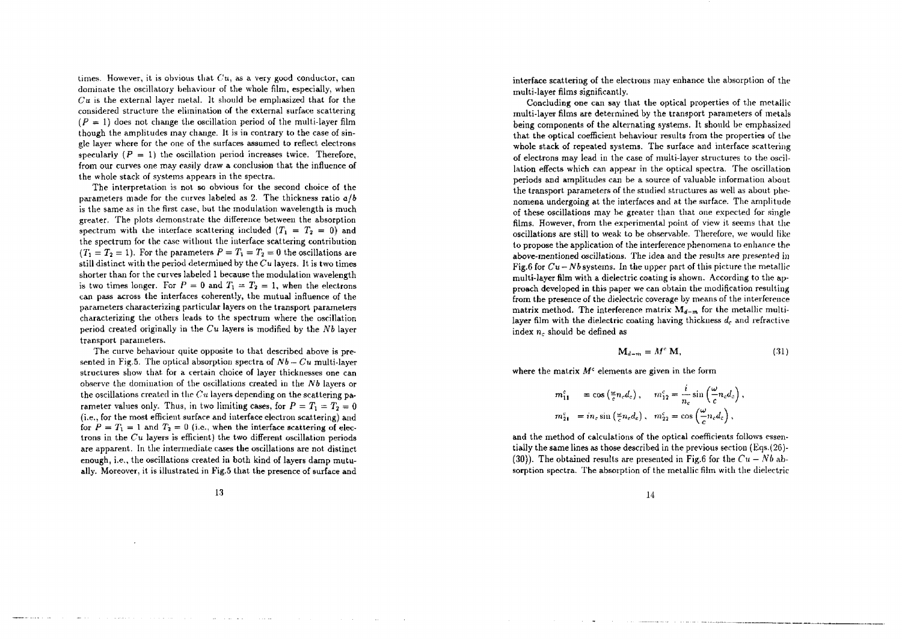times. However, it is obvious that  $Cu$ , as a very good conductor, can dominat e th e oscillator y behaviou r of th e whol e film, especially , whe n  $Cu$  is the external layer metal. It should be emphasized that for the considered structure the elimination of the external surface scattering  $(P = 1)$  does not change the oscillation period of the multi-layer film though the amplitudes may change. It is in contrary to the case of single layer where for the one of the surfaces assumed to reflect electrons specularly  $(P = 1)$  the oscillation period increases twice. Therefore, from our curves one may easily draw a conclusion that the influence of th e whol e stac k of system s appear s in th e spectra .

The interpretation is not so obvious for the second choice of the parameters made for the curves labeled as 2. The thickness ratio  $a/b$ is the same as in the first case, but the modulation wavelength is much greater . Th e plot s demonstrat e th e differenc e betwee n th e absorptio n spectrum with the interface scattering included  $(T_1 = T_2 = 0)$  and th e spectru m for th e cas e withou t th e interfac e scatterin g contributio n  $(T_1 = T_2 = 1)$ . For the parameters  $P = T_1 = T_2 = 0$  the oscillations are still distinct with the period determined by the  $Cu$  layers. It is two times shorter than for the curves labeled 1 because the modulation wavelength is two times longer. For  $P = 0$  and  $T_1 = T_2 = 1$ , when the electrons ca n pas s acros s th e interface s coherently , th e mutua l influenc e of th e parameters characterizing particular layers on the transport parameters characterizin g th e other s lead s t o th e spectru m where th e oscillatio n perio d create d originall y i n th e *Cu* layer s i s modifie d b y th e *Nb* layer transpor t parameters .

The curve behaviour quite opposite to that described above is presente d i n Fig.5 . Th e optica l absorptio n spectr a of *Nb* — *Cu* multi-laye structures show that for a certain choice of layer thicknesses one can observ e th e dominatio n of th e oscillation s create d in th e *Nb* layer s or the oscillations created in the  $Cu$  layers depending on the scattering parameter values only. Thus, in two limiting cases, for  $P = T_1 = T_2 = 0$ (i.e., for the most efficient surface and interface electron scattering) and for  $P = T_1 = 1$  and  $T_2 = 0$  (i.e., when the interface scattering of electrons in the  $Cu$  layers is efficient) the two different oscillation periods ar e apparent . In th e intermediat e case s th e oscillation s ar e no t distinc t enough, i.e., the oscillations created in both kind of layers damp mutually . Moreover , i t i s illustrate d i n Fig. 5 tha t th e presenc e of surfac e an d

1 3

interfac e scatterin g of th e electron s may enhanc e th e absorptio n of th e multi-laye r films significantly .

Concludin g on e ca n say tha t th e optica l propertie s of th e metalli c multi-laye r films ar e determine d by th e transpor t parameter s of metal s being components of the alternating systems. It should be emphasized that the optical coefficient behaviour results from the properties of the whol e stac k of repeate d systems . Th e surfac e an d interfac e scatterin g of electron s ma y lea d i n th e cas e of multi-laye r structure s t o th e oscil lation effects which can appear in the optical spectra. The oscillation period s an d amplitude s can b e a sourc e of valuabl e informatio n abou t the transport parameters of the studied structures as well as about phenomena undergoing at the interfaces and at the surface. The amplitude of thes e oscillation s ma y b e greate r tha n tha t on e expecte d for singl e films. However, from the experimental point of view it seems that the oscillation s ar e stil l t o weak t o b e observable . Therefore , we woul d like to propose the application of the interference phenomena to enhance the above-mentione d oscillations . Th e ide a an d th e result s ar e presente d i n Fig.6 for  $Cu-Nb$  systems. In the upper part of this picture the metallic multi-layer film with a dielectric coating is shown. According to the approach developed in this paper we can obtain the modification resulting .<br>from the presence of the dielectric coverage by means of the interference matrix method. The interference matrix  $M_{d-m}$  for the metallic multilayer film with the dielectric coating having thickness  $d_c$  and refractive  $index n_c$  should be defined as

$$
\mathbf{M}_{d+m} = M^c \mathbf{M},\tag{31}
$$

where the matrix  $M^c$  elements are given in the form

$$
m_{11}^c = \cos\left(\frac{\omega}{c}n_c d_c\right), \quad m_{12}^c = \frac{i}{n_c}\sin\left(\frac{\omega}{c}n_c d_c\right),
$$
  

$$
m_{21}^c = in_c\sin\left(\frac{\omega}{c}n_c d_c\right), \quad m_{22}^c = \cos\left(\frac{\omega}{c}n_c d_c\right),
$$

an d th e metho d of calculation s of th e optica l coefficient s follow s essen tiall y th e sam e line s a s thos e describe d in th e previou s sectio n (Eqs.(26) - (30)). The obtained results are presented in Fig.6 for the  $Cu - Nb$  absorption spectra. The absorption of the metallic film with the dielectric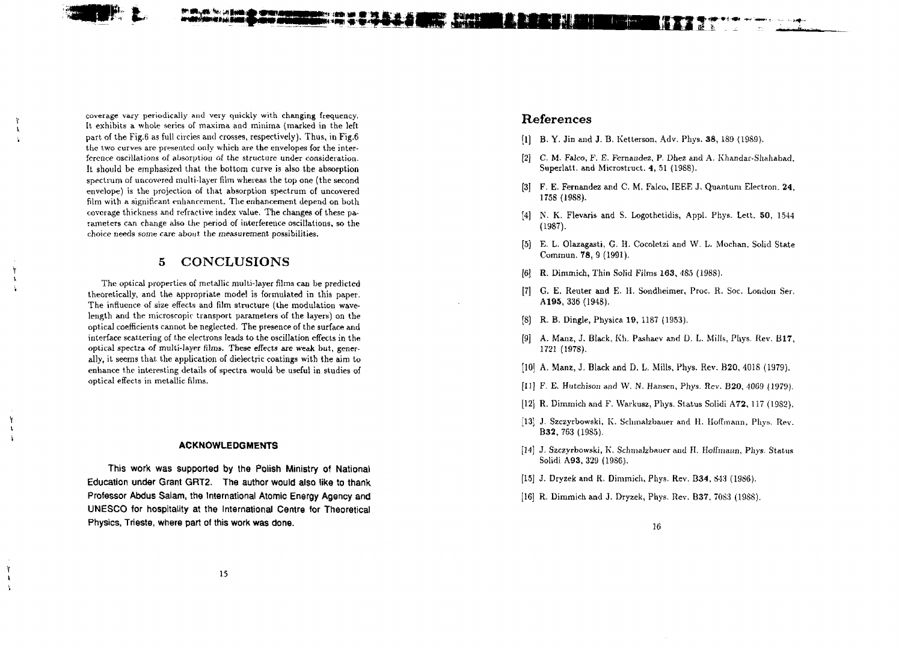coverage vary periodically and very quickly with changing frequency. It exhibits a whole series of maxima and minima (marked in the left part of the Fig.6 as full circles and crosses, respectively). Thus, in Fig.6 the two curves are presented only which are the envelopes for the interference oscillations of absorption of the structure under consideration. It should be emphasized that the bottom curve is also the absorption spectrum of uncovered multi-layer film whereas the top one (the second envelope) is the projection of that absorption spectrum of uncovered film with a significant enhancement. The enhancement depend on both coverage thickness and refractive index value. The changes of these parameters can change also the period of interference oscillations, so the choice needs some care about the measurement possibilities.

### 5 CONCLUSIONS

The optical properties of metallic multi-layer films can be predicted theoretically, and the appropriate model is formulated in this paper. The influence of size effects and film structure (the modulation wavelength and the microscopic transport parameters of the layers) on the optical coefficients cannot be neglected. The presence of the surface and interface scattering of the electrons leads to the oscillation effects in the optical spectra of multi-layer films. These effects are weak but, generally, it seems that the application of dielectric coatings with the aim to enhance the interesting details of spectra would be useful in studies of optical effects in metallic films.

#### **ACKNOWLEDGMENTS**

This work was supported by the Polish Ministry of National Education under Grant GRT2. The author would also like to thank Professor Abdus Salam, the International Atomic Energy Agency and UNESCO for hospitality at the International Centre for Theoretical Physics, Trieste, where part of this work was done.

#### References

- [I] B. Y. Jin and J. B. Ketterson, Adv. Phys. 38, 189 (19S9).
- [2] C. M. Falco, F. E. Fernandez, P. Dhez and A. Khandar-Shahabad, Superlatt. and Microstruct. 4, 51 (1988).
- [3] F. E. Fernandez and C. M. Falco, IEEE J. Quantum Electron, 24, 1758 (19S8).
- [4] N. K. Flevaris and S. Logothetidis, Appl. Phys. Lett. 50, 1544 (1987).
- [5] E. L. Olazagasti, G. H. Cocoletzi and W. L. Mochan, Solid State Commun. 78, 9 (1991).
- [6] R. Dimmich, Thin Solid Films **163,** 485 (19S8).
- [7] G. E. Reuter and E. H. Sondheimer, Proc. R. Soc. London Ser. **A195,** 336 (1948).
- [8] R. B. Dingle, Physica 19, 1187 (1953).
- [9] A. Manz, J. Black, Kh. Pashaev and D. L. Mills, Phys. Rev. **B17,** 1721 (1978).
- [10] A. Manz, J. Black and D. L. Mills, Phys. Rev. B20, 4018 (1979).
- [II] F. E. Hutchison and W. N. Hansen, Phys. Rev. **B20,** 4069 (1979).
- [12] R. Dimmich and F. Warkusz, Phys. Status Solidi **A72,** 117 (19S2).
- [13] J. Szczyrbowski, K. Schmalzbauer and H. Hoffmann, Phys. Rev. **B32,** 763(1985).
- [14] J. Szczyrbowski, K. Schmalzbauer and II. Hoffmann, Phvs. Status Solidi A93, 329 (19S6).
- [15] J. Dryzek and R. Dimmich, Phys. Rev. **B34,** 843 (1986).
- [16] R. Dimmich and J. Dryzek, Phys. Rev. B37, 70S3 (19S8).

f.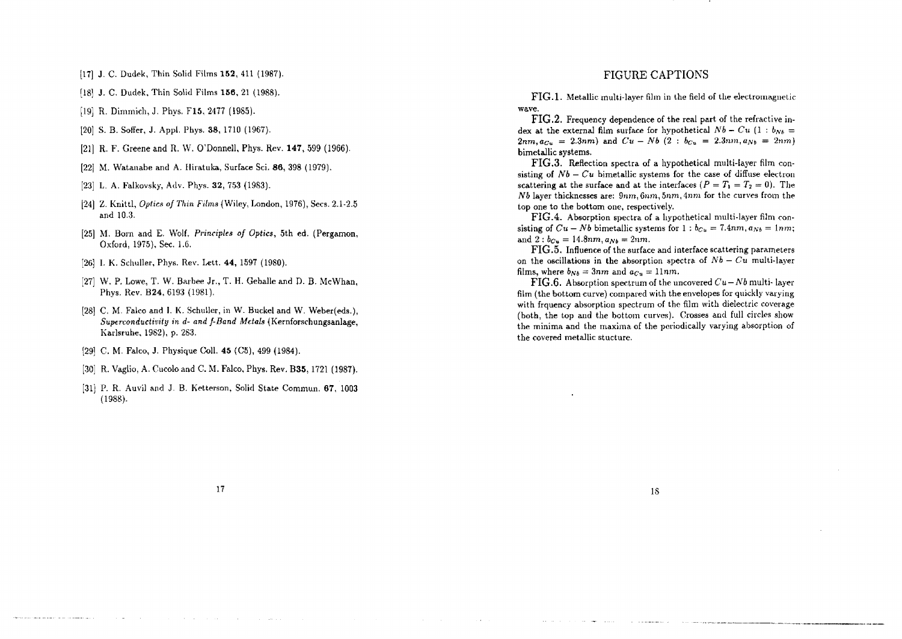[17] J. C. Dudek, Thin Solid Films **152,** 411 (1987).

- [18] J. C. Dudek, Thin Solid Films **156,** 21 (1988).
- [19] R. Dimmich, J. Phys. F15, 2477 (1985).
- [20] S. B. Soffer, J. Appl. Phys. 38, 1710 (1967).
- [21] R. F. Greene and R. VV. O'Donnell, Phys. Rev. **147,** 599 (1966).
- [22] M. Watanabe and A. Hiratuka, Surface Sci. 86, 398 (1979).
- [23] L. A. Falkovsky, Adv. Phys. 32, 753 (19S3).
- [24] Z. Knittl, *Optics of Thin Films* (Wiley, London, 1976), Sees. 2.1-2.5 and 10.3.
- [25] M. Born and E. Wolf, *Principles of Optics,* 5th ed. (Pergamon, Oxford, 1975), Sec. 1.6.
- [26] I. K. Schuller, Phys. Rev. Lett. **44,** 1597 (1980).
- [27] W. P. Lowe, T. W. Barbee Jr., T. H. Geballe and D. B. McWhan, Phys. Rev. B24, 6193 (1981).
- [28] C. M. Falco and I. K. Schuller, in W. Buckel and W. Weber(eds.), *Superconductivity in d- and f-Band Metals* (Kernforschungsanlage, Karlsruhe, 1982), p. 283.
- [29] C. M. Falco, J. Physique Coll. **45** (C5), 499 (1984).
- [30] R. Vaglio, A. Cucolo and C. M. Falco, Phys. Rev. **B35,** 1721 (1987).
- [31] P. R. Auvil and J. B. Ketterson, Solid State Commun. **67,** 1003 (1988).

#### FIGURE CAPTIONS

**FIG.l.** Metallic multi-layer film in the field of the electromagnetic wave.

FIG.2. Frequency dependence of the real part of the refractive index at the external film surface for hypothetical  $Nb - Cu$  (1 :  $b_{Nb} =$  $2nm, a_{Cu} = 2.3nm$  and  $Cu - Nb$  (2 :  $b_{Cu} = 2.3nm, a_{Nb} = 2nm$ ) bimetallic systems.

FIG.3. Reflection spectra of a hypothetical multi-layer film consisting of  $Nb - Cu$  bimetallic systems for the case of diffuse electron scattering at the surface and at the interfaces  $(P = T_1 = T_2 = 0)$ . The *Nb* layer thicknesses are:  $9nm,6nm,5nm,4nm$  for the curves from the top one to the bottom one, respectively.

FIG.4. Absorption spectra of a hypothetical multi-layer film consisting of  $Cu - Nb$  bimetallic systems for  $1 : b_{Cu} = 7.4nm, a_{Nb} = 1nm$ ; and  $2 : b_{Cu} = 14.8nm, a_{Nb} = 2nm$ .

**FIG.**5. Influence of the surface and interface scattering parameters on the oscillations in the absorption spectra of  $Nb - Cu$  multi-layer films, where  $b_{Nb} = 3nm$  and  $a_{Cu} = 11nm$ .

**FIG.6.** Absorption spectrum of the uncovered  $Cu-Nb$  multi- layer film (the bottom curve) compared with the envelopes for quickly varying with frquency absorption spectrum of the film with dielectric coverage (both, the top and the bottom curves). Crosses and full circles show the minima and the maxima of the periodically varying absorption of the covered metallic stucture.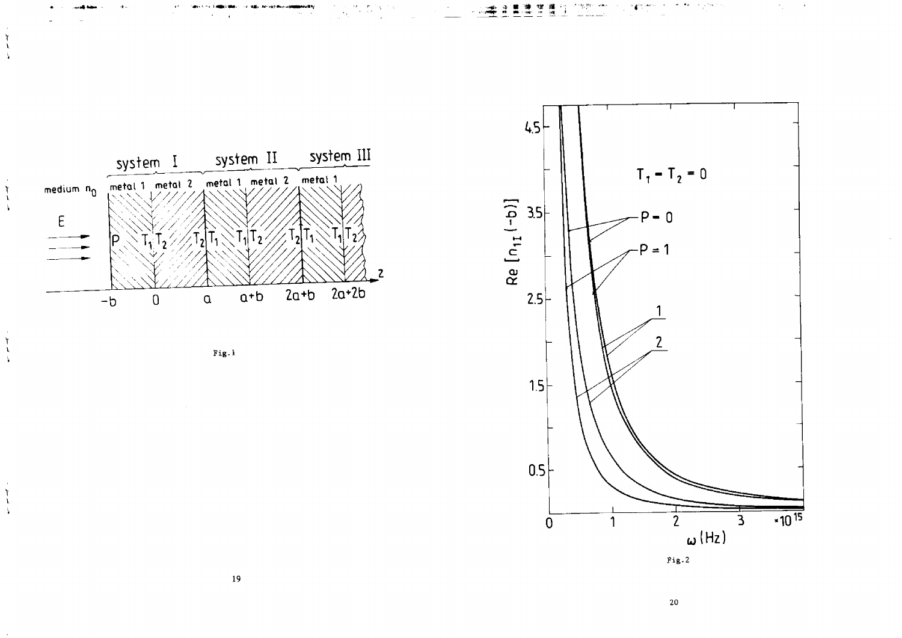

 $\begin{array}{c} \mathbf{1} \\ \mathbf{1} \\ \mathbf{1} \end{array}$ 

 $\mathbf{r}$ 

 $\mathbf{h}$ 

 $\mathbf{\hat{I}}$  $\frac{1}{4}$ 

 $\mathfrak{f}$  $\lambda$ 





 $\sigma_{\rm{L}}$  .  $\sim 0.1$ 

 $20\,$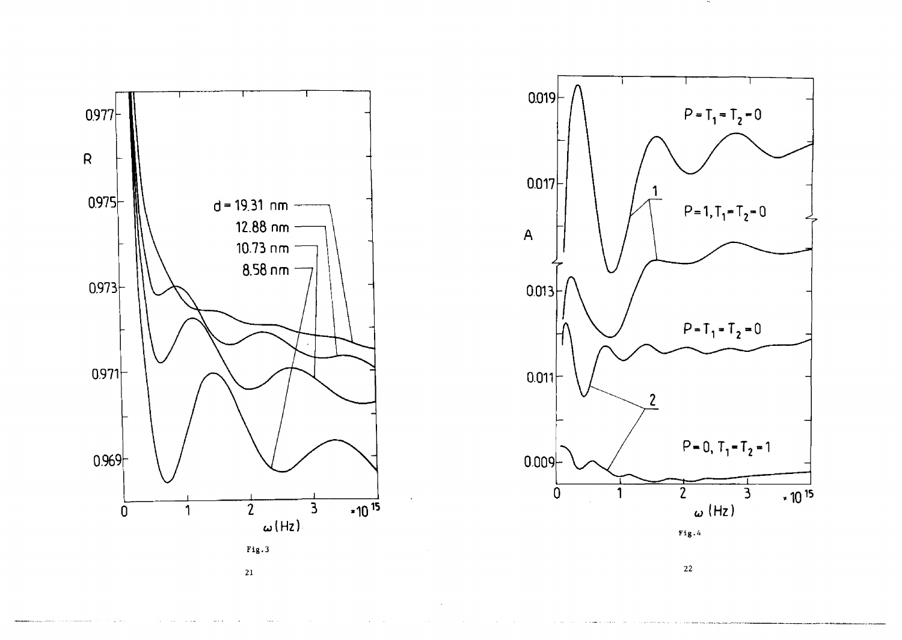![](_page_10_Figure_0.jpeg)

![](_page_10_Figure_1.jpeg)